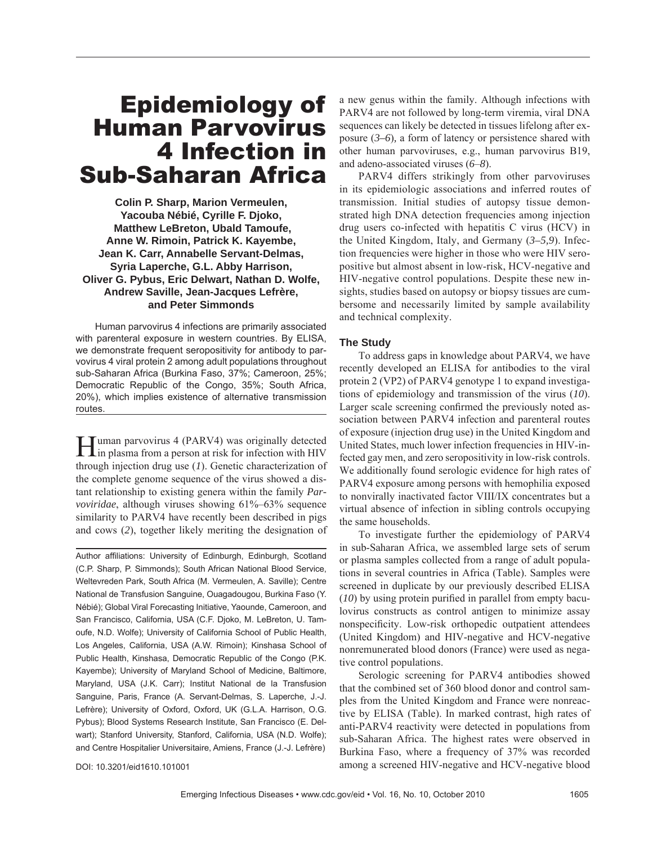# Epidemiology of Human Parvovirus 4 Infection in Sub-Saharan Africa

**Colin P. Sharp, Marion Vermeulen, Yacouba Nébié, Cyrille F. Djoko, Matthew LeBreton, Ubald Tamoufe, Anne W. Rimoin, Patrick K. Kayembe, Jean K. Carr, Annabelle Servant-Delmas, Syria Laperche, G.L. Abby Harrison, Oliver G. Pybus, Eric Delwart, Nathan D. Wolfe, Andrew Saville, Jean-Jacques Lefrère, and Peter Simmonds**

Human parvovirus 4 infections are primarily associated with parenteral exposure in western countries. By ELISA, we demonstrate frequent seropositivity for antibody to parvovirus 4 viral protein 2 among adult populations throughout sub-Saharan Africa (Burkina Faso, 37%; Cameroon, 25%; Democratic Republic of the Congo, 35%; South Africa, 20%), which implies existence of alternative transmission routes.

**Human parvovirus 4 (PARV4) was originally detected** in plasma from a person at risk for infection with HIV through injection drug use (*1*). Genetic characterization of the complete genome sequence of the virus showed a distant relationship to existing genera within the family *Parvoviridae*, although viruses showing 61%–63% sequence similarity to PARV4 have recently been described in pigs and cows (*2*), together likely meriting the designation of

Author affiliations: University of Edinburgh, Edinburgh, Scotland (C.P. Sharp, P. Simmonds); South African National Blood Service, Weltevreden Park, South Africa (M. Vermeulen, A. Saville); Centre National de Transfusion Sanguine, Ouagadougou, Burkina Faso (Y. Nébié); Global Viral Forecasting Initiative, Yaounde, Cameroon, and San Francisco, California, USA (C.F. Djoko, M. LeBreton, U. Tamoufe, N.D. Wolfe); University of California School of Public Health, Los Angeles, California, USA (A.W. Rimoin); Kinshasa School of Public Health, Kinshasa, Democratic Republic of the Congo (P.K. Kayembe); University of Maryland School of Medicine, Baltimore, Maryland, USA (J.K. Carr); Institut National de la Transfusion Sanguine, Paris, France (A. Servant-Delmas, S. Laperche, J.-J. Lefrère); University of Oxford, Oxford, UK (G.L.A. Harrison, O.G. Pybus); Blood Systems Research Institute, San Francisco (E. Delwart); Stanford University, Stanford, California, USA (N.D. Wolfe); and Centre Hospitalier Universitaire, Amiens, France (J.-J. Lefrère)

DOI: 10.3201/eid1610.101001

a new genus within the family. Although infections with PARV4 are not followed by long-term viremia, viral DNA sequences can likely be detected in tissues lifelong after exposure (*3–6*)*,* a form of latency or persistence shared with other human parvoviruses, e.g., human parvovirus B19, and adeno-associated viruses (*6*–*8*).

PARV4 differs strikingly from other parvoviruses in its epidemiologic associations and inferred routes of transmission. Initial studies of autopsy tissue demonstrated high DNA detection frequencies among injection drug users co-infected with hepatitis C virus (HCV) in the United Kingdom, Italy, and Germany (*3–5,9*). Infection frequencies were higher in those who were HIV seropositive but almost absent in low-risk, HCV-negative and HIV-negative control populations. Despite these new insights, studies based on autopsy or biopsy tissues are cumbersome and necessarily limited by sample availability and technical complexity.

#### **The Study**

To address gaps in knowledge about PARV4, we have recently developed an ELISA for antibodies to the viral protein 2 (VP2) of PARV4 genotype 1 to expand investigations of epidemiology and transmission of the virus (*10*). Larger scale screening confirmed the previously noted association between PARV4 infection and parenteral routes of exposure (injection drug use) in the United Kingdom and United States, much lower infection frequencies in HIV-infected gay men, and zero seropositivity in low-risk controls. We additionally found serologic evidence for high rates of PARV4 exposure among persons with hemophilia exposed to nonvirally inactivated factor VIII/IX concentrates but a virtual absence of infection in sibling controls occupying the same households.

To investigate further the epidemiology of PARV4 in sub-Saharan Africa, we assembled large sets of serum or plasma samples collected from a range of adult populations in several countries in Africa (Table). Samples were screened in duplicate by our previously described ELISA  $(10)$  by using protein purified in parallel from empty baculovirus constructs as control antigen to minimize assay nonspecificity. Low-risk orthopedic outpatient attendees (United Kingdom) and HIV-negative and HCV-negative nonremunerated blood donors (France) were used as negative control populations.

Serologic screening for PARV4 antibodies showed that the combined set of 360 blood donor and control samples from the United Kingdom and France were nonreactive by ELISA (Table). In marked contrast, high rates of anti-PARV4 reactivity were detected in populations from sub-Saharan Africa. The highest rates were observed in Burkina Faso, where a frequency of 37% was recorded among a screened HIV-negative and HCV-negative blood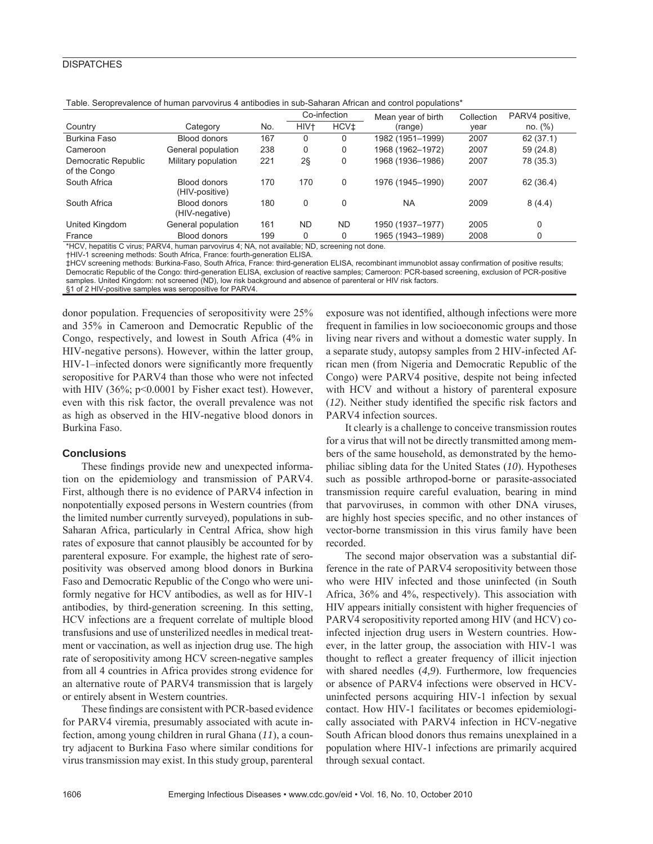## **DISPATCHES**

| Table. Octobic valches of Human parvovitus + antibouics in sub-Sanaran Allican and control populations |                                |     |                  |                  |                    |            |                 |
|--------------------------------------------------------------------------------------------------------|--------------------------------|-----|------------------|------------------|--------------------|------------|-----------------|
|                                                                                                        |                                |     | Co-infection     |                  | Mean year of birth | Collection | PARV4 positive, |
| Country                                                                                                | Category                       | No. | HIV <sup>+</sup> | HCV <sup>+</sup> | (range)            | year       | no. (%)         |
| Burkina Faso                                                                                           | Blood donors                   | 167 |                  | 0                | 1982 (1951–1999)   | 2007       | 62(37.1)        |
| Cameroon                                                                                               | General population             | 238 | 0                | 0                | 1968 (1962–1972)   | 2007       | 59 (24.8)       |
| Democratic Republic<br>of the Congo                                                                    | Military population            | 221 | $2\S$            | 0                | 1968 (1936-1986)   | 2007       | 78 (35.3)       |
| South Africa                                                                                           | Blood donors<br>(HIV-positive) | 170 | 170              | 0                | 1976 (1945-1990)   | 2007       | 62 (36.4)       |
| South Africa                                                                                           | Blood donors<br>(HIV-negative) | 180 | 0                | $\Omega$         | <b>NA</b>          | 2009       | 8(4.4)          |
| United Kingdom                                                                                         | General population             | 161 | <b>ND</b>        | <b>ND</b>        | 1950 (1937-1977)   | 2005       | 0               |
| France                                                                                                 | Blood donors                   | 199 |                  | 0                | 1965 (1943–1989)   | 2008       |                 |

Table. Seroprevalence of human parvovirus 4 antibodies in sub-Saharan African and control populations\*

\*HCV, hepatitis C virus; PARV4, human parvovirus 4; NA, not available; ND, screening not done.

†HIV-1 screening methods: South Africa, France: fourth-generation ELISA.

‡HCV screening methods: Burkina-Faso, South Africa, France: third-generation ELISA, recombinant immunoblot assay confirmation of positive results; Democratic Republic of the Congo: third-generation ELISA, exclusion of reactive samples; Cameroon: PCR-based screening, exclusion of PCR-positive samples. United Kingdom: not screened (ND), low risk background and absence of parenteral or HIV risk factors.

§1 of 2 HIV-positive samples was seropositive for PARV4.

donor population. Frequencies of seropositivity were 25% and 35% in Cameroon and Democratic Republic of the Congo, respectively, and lowest in South Africa (4% in HIV-negative persons). However, within the latter group, HIV-1–infected donors were significantly more frequently seropositive for PARV4 than those who were not infected with HIV  $(36\%; p<0.0001$  by Fisher exact test). However, even with this risk factor, the overall prevalence was not as high as observed in the HIV-negative blood donors in Burkina Faso.

#### **Conclusions**

These findings provide new and unexpected information on the epidemiology and transmission of PARV4. First, although there is no evidence of PARV4 infection in nonpotentially exposed persons in Western countries (from the limited number currently surveyed), populations in sub-Saharan Africa, particularly in Central Africa, show high rates of exposure that cannot plausibly be accounted for by parenteral exposure. For example, the highest rate of seropositivity was observed among blood donors in Burkina Faso and Democratic Republic of the Congo who were uniformly negative for HCV antibodies, as well as for HIV-1 antibodies, by third-generation screening. In this setting, HCV infections are a frequent correlate of multiple blood transfusions and use of unsterilized needles in medical treatment or vaccination, as well as injection drug use. The high rate of seropositivity among HCV screen-negative samples from all 4 countries in Africa provides strong evidence for an alternative route of PARV4 transmission that is largely or entirely absent in Western countries.

These findings are consistent with PCR-based evidence for PARV4 viremia, presumably associated with acute infection, among young children in rural Ghana (*11*), a country adjacent to Burkina Faso where similar conditions for virus transmission may exist. In this study group, parenteral

exposure was not identified, although infections were more frequent in families in low socioeconomic groups and those living near rivers and without a domestic water supply. In a separate study, autopsy samples from 2 HIV-infected African men (from Nigeria and Democratic Republic of the Congo) were PARV4 positive, despite not being infected with HCV and without a history of parenteral exposure  $(12)$ . Neither study identified the specific risk factors and PARV4 infection sources.

It clearly is a challenge to conceive transmission routes for a virus that will not be directly transmitted among members of the same household, as demonstrated by the hemophiliac sibling data for the United States (*10*). Hypotheses such as possible arthropod-borne or parasite-associated transmission require careful evaluation, bearing in mind that parvoviruses, in common with other DNA viruses, are highly host species specific, and no other instances of vector-borne transmission in this virus family have been recorded.

The second major observation was a substantial difference in the rate of PARV4 seropositivity between those who were HIV infected and those uninfected (in South Africa, 36% and 4%, respectively). This association with HIV appears initially consistent with higher frequencies of PARV4 seropositivity reported among HIV (and HCV) coinfected injection drug users in Western countries. However, in the latter group, the association with HIV-1 was thought to reflect a greater frequency of illicit injection with shared needles (4,9). Furthermore, low frequencies or absence of PARV4 infections were observed in HCVuninfected persons acquiring HIV-1 infection by sexual contact. How HIV-1 facilitates or becomes epidemiologically associated with PARV4 infection in HCV-negative South African blood donors thus remains unexplained in a population where HIV-1 infections are primarily acquired through sexual contact.